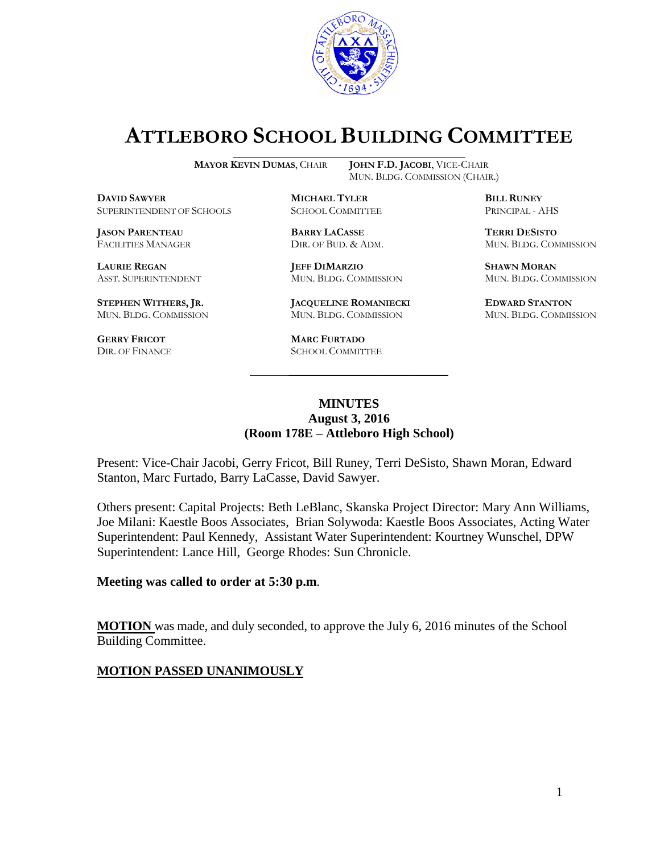

# **ATTLEBORO SCHOOL BUILDING COMMITTEE**

MUN. BLDG. COMMISSION (CHAIR.)

**MAYOR KEVIN DUMAS**, CHAIR **JOHN F.D. JACOBI**, VICE-CHAIR

**DAVID SAWYER MICHAEL TYLER BILL RUNEY** SUPERINTENDENT OF SCHOOLS SCHOOL COMMITTEE PRINCIPAL - AHS

**JASON PARENTEAU BARRY LACASSE TERRI DESISTO**

**STEPHEN WITHERS, JR. JACQUELINE ROMANIECKI EDWARD STANTON**

**GERRY FRICOT MARC FURTADO**

**LAURIE REGAN JEFF DIMARZIO SHAWN MORAN**

MUN. BLDG. COMMISSION MUN. BLDG. COMMISSION MUN. BLDG. COMMISSION

SCHOOL COMMITTEE

FACILITIES MANAGER DIR. OF BUD. & ADM. MUN. BLDG. COMMISSION

ASST. SUPERINTENDENT MUN. BLDG. COMMISSION MUN. BLDG. COMMISSION

### **MINUTES August 3, 2016 (Room 178E – Attleboro High School)**

\_\_\_\_\_\_\_\_\_\_\_\_\_\_\_\_\_\_\_\_\_\_\_\_\_\_\_\_\_\_\_\_\_\_\_\_\_

Present: Vice-Chair Jacobi, Gerry Fricot, Bill Runey, Terri DeSisto, Shawn Moran, Edward Stanton, Marc Furtado, Barry LaCasse, David Sawyer.

Others present: Capital Projects: Beth LeBlanc, Skanska Project Director: Mary Ann Williams, Joe Milani: Kaestle Boos Associates, Brian Solywoda: Kaestle Boos Associates, Acting Water Superintendent: Paul Kennedy, Assistant Water Superintendent: Kourtney Wunschel, DPW Superintendent: Lance Hill, George Rhodes: Sun Chronicle.

#### **Meeting was called to order at 5:30 p.m**.

**MOTION** was made, and duly seconded, to approve the July 6, 2016 minutes of the School Building Committee.

### **MOTION PASSED UNANIMOUSLY**